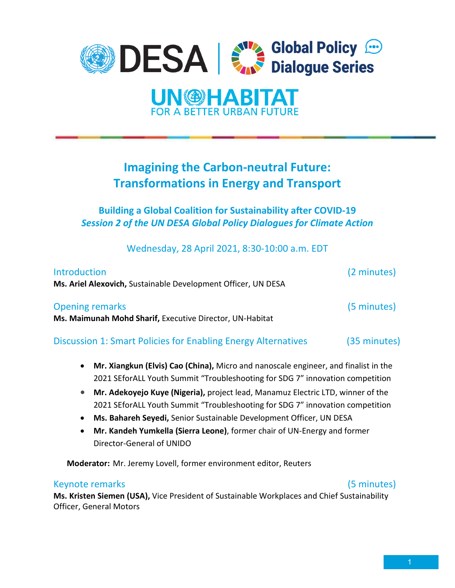



# **Imagining the Carbon-neutral Future: Transformations in Energy and Transport**

**Building a Global Coalition for Sustainability after COVID-19**  *Session 2 of the UN DESA Global Policy Dialogues for Climate Action*

Wednesday, 28 April 2021, 8:30-10:00 a.m. EDT

| <b>Introduction</b><br>Ms. Ariel Alexovich, Sustainable Development Officer, UN DESA | (2 minutes) |
|--------------------------------------------------------------------------------------|-------------|
|                                                                                      |             |
| Ms. Maimunah Mohd Sharif, Executive Director, UN-Habitat                             |             |

Discussion 1: Smart Policies for Enabling Energy Alternatives (35 minutes)

- **Mr. Xiangkun (Elvis) Cao (China),** Micro and nanoscale engineer, and finalist in the 2021 SEforALL Youth Summit "Troubleshooting for SDG 7" innovation competition
- **Mr. Adekoyejo Kuye (Nigeria),** project lead, Manamuz Electric LTD, winner of the 2021 SEforALL Youth Summit "Troubleshooting for SDG 7" innovation competition
- **Ms. Bahareh Seyedi,** Senior Sustainable Development Officer, UN DESA
- **Mr. Kandeh Yumkella (Sierra Leone)**, former chair of UN-Energy and former Director-General of UNIDO

**Moderator:** Mr. Jeremy Lovell, former environment editor, Reuters

### Keynote remarks (5 minutes)

**Ms. Kristen Siemen (USA),** Vice President of Sustainable Workplaces and Chief Sustainability Officer, General Motors